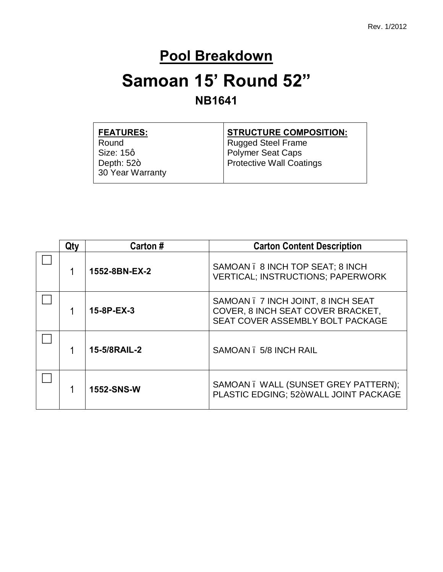#### **Pool Breakdown**

# **Samoan 15' Round 52"**

#### **NB1641**

| <b>STRUCTURE COMPOSITION:</b>   |
|---------------------------------|
| <b>Rugged Steel Frame</b>       |
| Polymer Seat Caps               |
| <b>Protective Wall Coatings</b> |
|                                 |
|                                 |

| Qtv | Carton#           | <b>Carton Content Description</b>                                                                           |
|-----|-------------------|-------------------------------------------------------------------------------------------------------------|
|     | 1552-8BN-EX-2     | SAMOAN . 8 INCH TOP SEAT; 8 INCH<br><b>VERTICAL; INSTRUCTIONS; PAPERWORK</b>                                |
|     | 15-8P-EX-3        | SAMOAN . 7 INCH JOINT, 8 INCH SEAT<br>COVER, 8 INCH SEAT COVER BRACKET,<br>SEAT COVER ASSEMBLY BOLT PACKAGE |
|     | 15-5/8RAIL-2      | SAMOAN . 5/8 INCH RAIL                                                                                      |
|     | <b>1552-SNS-W</b> | SAMOAN . WALL (SUNSET GREY PATTERN);<br>PLASTIC EDGING: 52+WALL JOINT PACKAGE                               |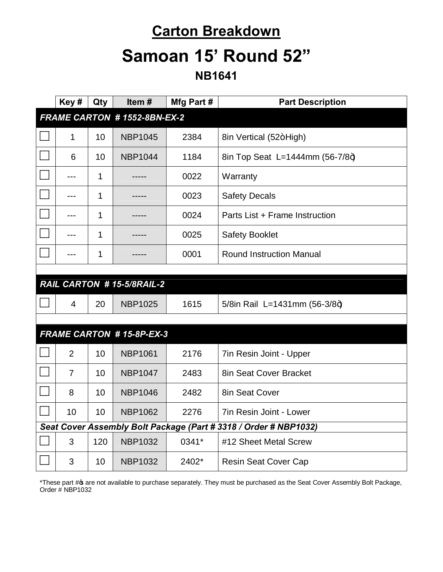### **Carton Breakdown**

## **Samoan 15' Round 52"**

**NB1641**

|                                 | Key#                         | Qty | Item#                     | Mfg Part # | <b>Part Description</b>                                          |
|---------------------------------|------------------------------|-----|---------------------------|------------|------------------------------------------------------------------|
|                                 | FRAME CARTON # 1552-8BN-EX-2 |     |                           |            |                                                                  |
|                                 | 1                            | 10  | <b>NBP1045</b>            | 2384       | 8in Vertical (52+High)                                           |
|                                 | 6                            | 10  | <b>NBP1044</b>            | 1184       | 8in Top Seat L=1444mm (56-7/8+)                                  |
|                                 | ---                          | 1   |                           | 0022       | Warranty                                                         |
|                                 | ---                          | 1   |                           | 0023       | <b>Safety Decals</b>                                             |
|                                 | ---                          | 1   |                           | 0024       | Parts List + Frame Instruction                                   |
|                                 | ---                          | 1   |                           | 0025       | <b>Safety Booklet</b>                                            |
|                                 |                              | 1   |                           | 0001       | <b>Round Instruction Manual</b>                                  |
|                                 |                              |     |                           |            |                                                                  |
|                                 |                              |     | RAIL CARTON #15-5/8RAIL-2 |            |                                                                  |
|                                 | 4                            | 20  | <b>NBP1025</b>            | 1615       | 5/8in Rail L=1431mm (56-3/8+)                                    |
|                                 |                              |     |                           |            |                                                                  |
| <b>FRAME CARTON #15-8P-EX-3</b> |                              |     |                           |            |                                                                  |
|                                 | $\overline{2}$               | 10  | <b>NBP1061</b>            | 2176       | 7in Resin Joint - Upper                                          |
|                                 | $\overline{7}$               | 10  | <b>NBP1047</b>            | 2483       | 8in Seat Cover Bracket                                           |
|                                 | 8                            | 10  | <b>NBP1046</b>            | 2482       | 8in Seat Cover                                                   |
|                                 | 10                           | 10  | <b>NBP1062</b>            | 2276       | <b>7in Resin Joint - Lower</b>                                   |
|                                 |                              |     |                           |            | Seat Cover Assembly Bolt Package (Part # 3318 / Order # NBP1032) |
|                                 | 3                            | 120 | <b>NBP1032</b>            | 0341*      | #12 Sheet Metal Screw                                            |
|                                 | 3                            | 10  | <b>NBP1032</b>            | 2402*      | <b>Resin Seat Cover Cap</b>                                      |

\*These part # are not available to purchase separately. They must be purchased as the Seat Cover Assembly Bolt Package, Order # NBP1032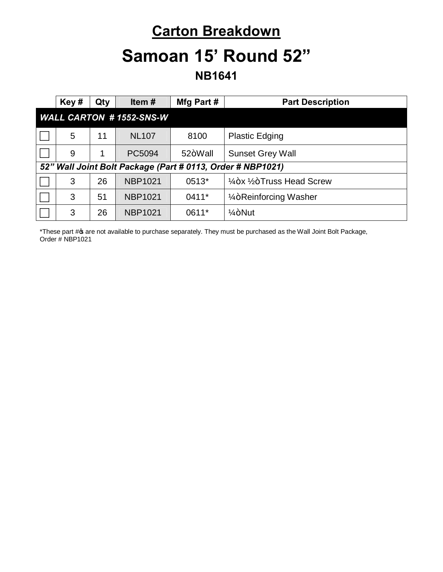#### **Carton Breakdown**

# **Samoan 15' Round 52"**

**NB1641**

|                                | Key#                                                       | Qty | Item $#$       | Mfg Part # | <b>Part Description</b>                          |
|--------------------------------|------------------------------------------------------------|-----|----------------|------------|--------------------------------------------------|
| <b>WALL CARTON #1552-SNS-W</b> |                                                            |     |                |            |                                                  |
|                                | 5                                                          | 11  | <b>NL107</b>   | 8100       | <b>Plastic Edging</b>                            |
|                                | 9                                                          | 1   | PC5094         | 52+Wall    | <b>Sunset Grey Wall</b>                          |
|                                | 52" Wall Joint Bolt Package (Part # 0113, Order # NBP1021) |     |                |            |                                                  |
|                                | 3                                                          | 26  | <b>NBP1021</b> | 0513*      | $\frac{1}{4}$ +x $\frac{1}{2}$ +Truss Head Screw |
|                                | 3                                                          | 51  | <b>NBP1021</b> | $0411*$    | 1/ <sub>4</sub> +Reinforcing Washer              |
|                                | 3                                                          | 26  | <b>NBP1021</b> | 0611*      | $1/4 + N$ ut                                     |

\*These part # are not available to purchase separately. They must be purchased as the Wall Joint Bolt Package, Order # NBP1021